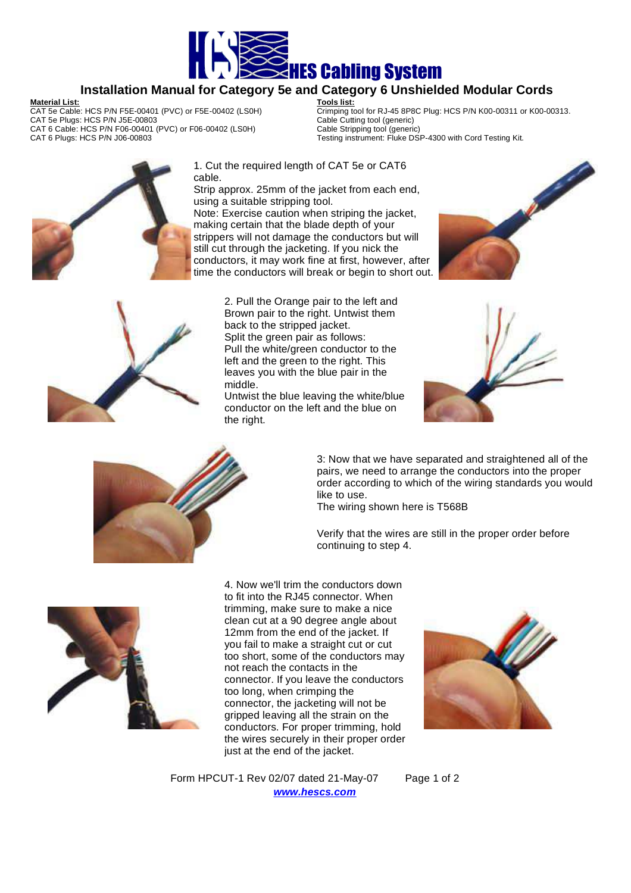

## **Installation Manual for Category 5e and Category 6 Unshielded Modular Cords**

## **Material List:**

CAT 5e Cable: HCS P/N F5E-00401 (PVC) or F5E-00402 (LS0H) CAT 5e Plugs: HCS P/N J5E-00803 CAT 6 Cable: HCS P/N F06-00401 (PVC) or F06-00402 (LS0H) CAT 6 Plugs: HCS P/N J06-00803

**Tools list:** Crimping tool for RJ-45 8P8C Plug: HCS P/N K00-00311 or K00-00313. Cable Cutting tool (generic) Cable Stripping tool (generic) Testing instrument: Fluke DSP-4300 with Cord Testing Kit.



1. Cut the required length of CAT 5e or CAT6 cable.

Strip approx. 25mm of the jacket from each end, using a suitable stripping tool.

Note: Exercise caution when striping the jacket, making certain that the blade depth of your strippers will not damage the conductors but will still cut through the jacketing. If you nick the conductors, it may work fine at first, however, after time the conductors will break or begin to short out.





2. Pull the Orange pair to the left and Brown pair to the right. Untwist them back to the stripped jacket. Split the green pair as follows: Pull the white/green conductor to the left and the green to the right. This leaves you with the blue pair in the middle.

Untwist the blue leaving the white/blue conductor on the left and the blue on the right.





3: Now that we have separated and straightened all of the pairs, we need to arrange the conductors into the proper order according to which of the wiring standards you would like to use.

The wiring shown here is T568B

Verify that the wires are still in the proper order before continuing to step 4.



4. Now we'll trim the conductors down to fit into the RJ45 connector. When trimming, make sure to make a nice clean cut at a 90 degree angle about 12mm from the end of the jacket. If you fail to make a straight cut or cut too short, some of the conductors may not reach the contacts in the connector. If you leave the conductors too long, when crimping the connector, the jacketing will not be gripped leaving all the strain on the conductors. For proper trimming, hold the wires securely in their proper order just at the end of the jacket.



Form HPCUT-1 Rev 02/07 dated 21-May-07 Page 1 of 2 **www.hescs.com**